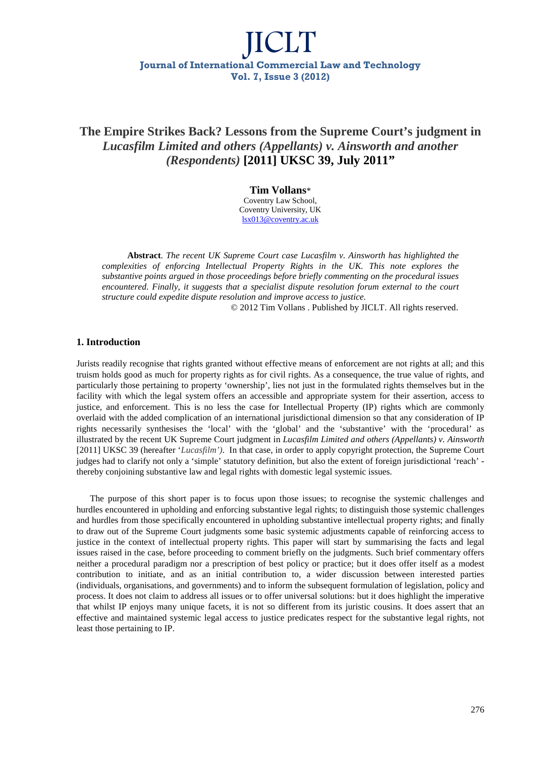### **The Empire Strikes Back? Lessons from the Supreme Court's judgment in**  *Lucasfilm Limited and others (Appellants) v. Ainsworth and another (Respondents)* **[2011] UKSC 39, July 2011"**

**Tim Vollans**\* Coventry Law School, Coventry University, UK lsx013@coventry.ac.uk

**Abstract**. *The recent UK Supreme Court case Lucasfilm v. Ainsworth has highlighted the complexities of enforcing Intellectual Property Rights in the UK. This note explores the substantive points argued in those proceedings before briefly commenting on the procedural issues encountered. Finally, it suggests that a specialist dispute resolution forum external to the court structure could expedite dispute resolution and improve access to justice.* 

© 2012 Tim Vollans . Published by JICLT. All rights reserved.

#### **1. Introduction**

Jurists readily recognise that rights granted without effective means of enforcement are not rights at all; and this truism holds good as much for property rights as for civil rights. As a consequence, the true value of rights, and particularly those pertaining to property 'ownership', lies not just in the formulated rights themselves but in the facility with which the legal system offers an accessible and appropriate system for their assertion, access to justice, and enforcement. This is no less the case for Intellectual Property (IP) rights which are commonly overlaid with the added complication of an international jurisdictional dimension so that any consideration of IP rights necessarily synthesises the 'local' with the 'global' and the 'substantive' with the 'procedural' as illustrated by the recent UK Supreme Court judgment in *Lucasfilm Limited and others (Appellants) v. Ainsworth* [2011] UKSC 39 (hereafter '*Lucasfilm')*. In that case, in order to apply copyright protection, the Supreme Court judges had to clarify not only a 'simple' statutory definition, but also the extent of foreign jurisdictional 'reach' thereby conjoining substantive law and legal rights with domestic legal systemic issues.

The purpose of this short paper is to focus upon those issues; to recognise the systemic challenges and hurdles encountered in upholding and enforcing substantive legal rights; to distinguish those systemic challenges and hurdles from those specifically encountered in upholding substantive intellectual property rights; and finally to draw out of the Supreme Court judgments some basic systemic adjustments capable of reinforcing access to justice in the context of intellectual property rights. This paper will start by summarising the facts and legal issues raised in the case, before proceeding to comment briefly on the judgments. Such brief commentary offers neither a procedural paradigm nor a prescription of best policy or practice; but it does offer itself as a modest contribution to initiate, and as an initial contribution to, a wider discussion between interested parties (individuals, organisations, and governments) and to inform the subsequent formulation of legislation, policy and process. It does not claim to address all issues or to offer universal solutions: but it does highlight the imperative that whilst IP enjoys many unique facets, it is not so different from its juristic cousins. It does assert that an effective and maintained systemic legal access to justice predicates respect for the substantive legal rights, not least those pertaining to IP.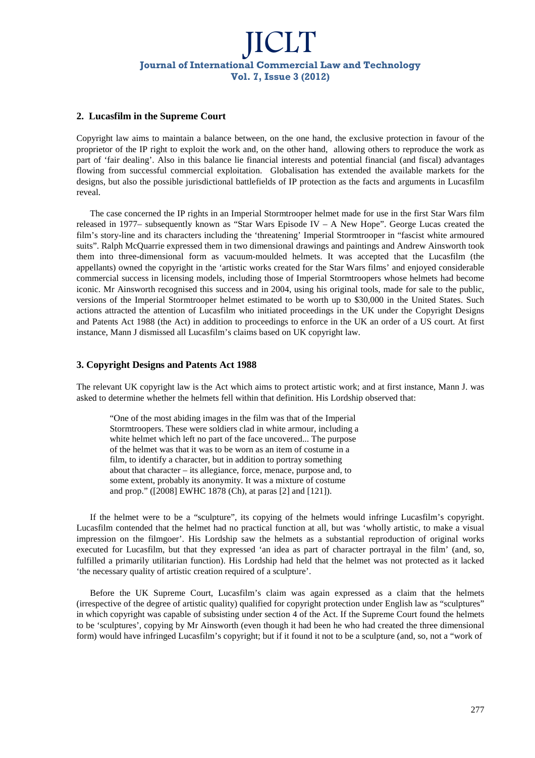### **2. Lucasfilm in the Supreme Court**

Copyright law aims to maintain a balance between, on the one hand, the exclusive protection in favour of the proprietor of the IP right to exploit the work and, on the other hand, allowing others to reproduce the work as part of 'fair dealing'. Also in this balance lie financial interests and potential financial (and fiscal) advantages flowing from successful commercial exploitation. Globalisation has extended the available markets for the designs, but also the possible jurisdictional battlefields of IP protection as the facts and arguments in Lucasfilm reveal.

The case concerned the IP rights in an Imperial Stormtrooper helmet made for use in the first Star Wars film released in 1977– subsequently known as "Star Wars Episode IV – A New Hope". George Lucas created the film's story-line and its characters including the 'threatening' Imperial Stormtrooper in "fascist white armoured suits". Ralph McQuarrie expressed them in two dimensional drawings and paintings and Andrew Ainsworth took them into three-dimensional form as vacuum-moulded helmets. It was accepted that the Lucasfilm (the appellants) owned the copyright in the 'artistic works created for the Star Wars films' and enjoyed considerable commercial success in licensing models, including those of Imperial Stormtroopers whose helmets had become iconic. Mr Ainsworth recognised this success and in 2004, using his original tools, made for sale to the public, versions of the Imperial Stormtrooper helmet estimated to be worth up to \$30,000 in the United States. Such actions attracted the attention of Lucasfilm who initiated proceedings in the UK under the Copyright Designs and Patents Act 1988 (the Act) in addition to proceedings to enforce in the UK an order of a US court. At first instance, Mann J dismissed all Lucasfilm's claims based on UK copyright law.

### **3. Copyright Designs and Patents Act 1988**

The relevant UK copyright law is the Act which aims to protect artistic work; and at first instance, Mann J. was asked to determine whether the helmets fell within that definition. His Lordship observed that:

"One of the most abiding images in the film was that of the Imperial Stormtroopers. These were soldiers clad in white armour, including a white helmet which left no part of the face uncovered... The purpose of the helmet was that it was to be worn as an item of costume in a film, to identify a character, but in addition to portray something about that character – its allegiance, force, menace, purpose and, to some extent, probably its anonymity. It was a mixture of costume and prop." ([2008] EWHC 1878 (Ch), at paras [2] and [121]).

If the helmet were to be a "sculpture", its copying of the helmets would infringe Lucasfilm's copyright. Lucasfilm contended that the helmet had no practical function at all, but was 'wholly artistic, to make a visual impression on the filmgoer'. His Lordship saw the helmets as a substantial reproduction of original works executed for Lucasfilm, but that they expressed 'an idea as part of character portrayal in the film' (and, so, fulfilled a primarily utilitarian function). His Lordship had held that the helmet was not protected as it lacked 'the necessary quality of artistic creation required of a sculpture'.

Before the UK Supreme Court, Lucasfilm's claim was again expressed as a claim that the helmets (irrespective of the degree of artistic quality) qualified for copyright protection under English law as "sculptures" in which copyright was capable of subsisting under section 4 of the Act. If the Supreme Court found the helmets to be 'sculptures', copying by Mr Ainsworth (even though it had been he who had created the three dimensional form) would have infringed Lucasfilm's copyright; but if it found it not to be a sculpture (and, so, not a "work of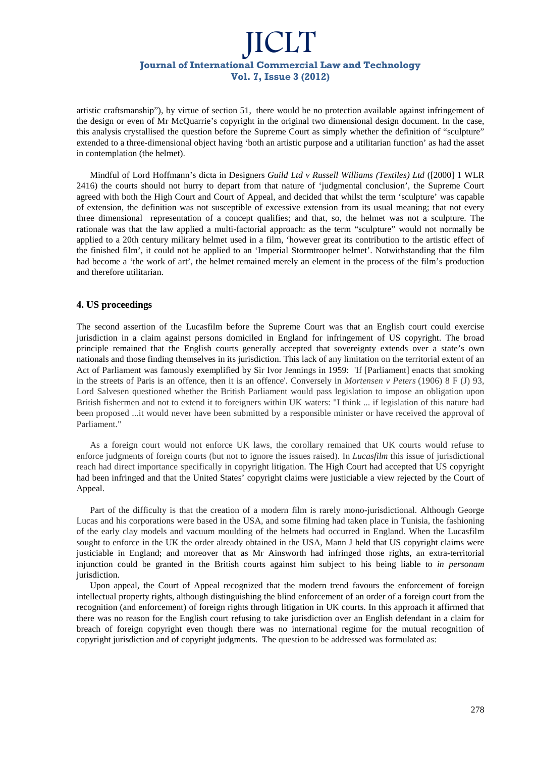artistic craftsmanship"), by virtue of section 51, there would be no protection available against infringement of the design or even of Mr McQuarrie's copyright in the original two dimensional design document. In the case, this analysis crystallised the question before the Supreme Court as simply whether the definition of "sculpture" extended to a three-dimensional object having 'both an artistic purpose and a utilitarian function' as had the asset in contemplation (the helmet).

Mindful of Lord Hoffmann's dicta in Designers *Guild Ltd v Russell Williams (Textiles) Ltd* ([2000] 1 WLR 2416) the courts should not hurry to depart from that nature of 'judgmental conclusion', the Supreme Court agreed with both the High Court and Court of Appeal, and decided that whilst the term 'sculpture' was capable of extension, the definition was not susceptible of excessive extension from its usual meaning; that not every three dimensional representation of a concept qualifies; and that, so, the helmet was not a sculpture. The rationale was that the law applied a multi-factorial approach: as the term "sculpture" would not normally be applied to a 20th century military helmet used in a film, 'however great its contribution to the artistic effect of the finished film', it could not be applied to an 'Imperial Stormtrooper helmet'. Notwithstanding that the film had become a 'the work of art', the helmet remained merely an element in the process of the film's production and therefore utilitarian.

### **4. US proceedings**

The second assertion of the Lucasfilm before the Supreme Court was that an English court could exercise jurisdiction in a claim against persons domiciled in England for infringement of US copyright. The broad principle remained that the English courts generally accepted that sovereignty extends over a state's own nationals and those finding themselves in its jurisdiction. This lack of any limitation on the territorial extent of an Act of Parliament was famously exemplified by Sir Ivor Jennings in 1959: 'If [Parliament] enacts that smoking in the streets of Paris is an offence, then it is an offence'. Conversely in *Mortensen v Peters* (1906) 8 F (J) 93, Lord Salvesen questioned whether the British Parliament would pass legislation to impose an obligation upon British fishermen and not to extend it to foreigners within UK waters: "I think ... if legislation of this nature had been proposed ...it would never have been submitted by a responsible minister or have received the approval of Parliament."

As a foreign court would not enforce UK laws, the corollary remained that UK courts would refuse to enforce judgments of foreign courts (but not to ignore the issues raised). In *Lucasfilm* this issue of jurisdictional reach had direct importance specifically in copyright litigation. The High Court had accepted that US copyright had been infringed and that the United States' copyright claims were justiciable a view rejected by the Court of Appeal.

Part of the difficulty is that the creation of a modern film is rarely mono-jurisdictional. Although George Lucas and his corporations were based in the USA, and some filming had taken place in Tunisia, the fashioning of the early clay models and vacuum moulding of the helmets had occurred in England. When the Lucasfilm sought to enforce in the UK the order already obtained in the USA, Mann J held that US copyright claims were justiciable in England; and moreover that as Mr Ainsworth had infringed those rights, an extra-territorial injunction could be granted in the British courts against him subject to his being liable to *in personam*  jurisdiction.

Upon appeal, the Court of Appeal recognized that the modern trend favours the enforcement of foreign intellectual property rights, although distinguishing the blind enforcement of an order of a foreign court from the recognition (and enforcement) of foreign rights through litigation in UK courts. In this approach it affirmed that there was no reason for the English court refusing to take jurisdiction over an English defendant in a claim for breach of foreign copyright even though there was no international regime for the mutual recognition of copyright jurisdiction and of copyright judgments. The question to be addressed was formulated as: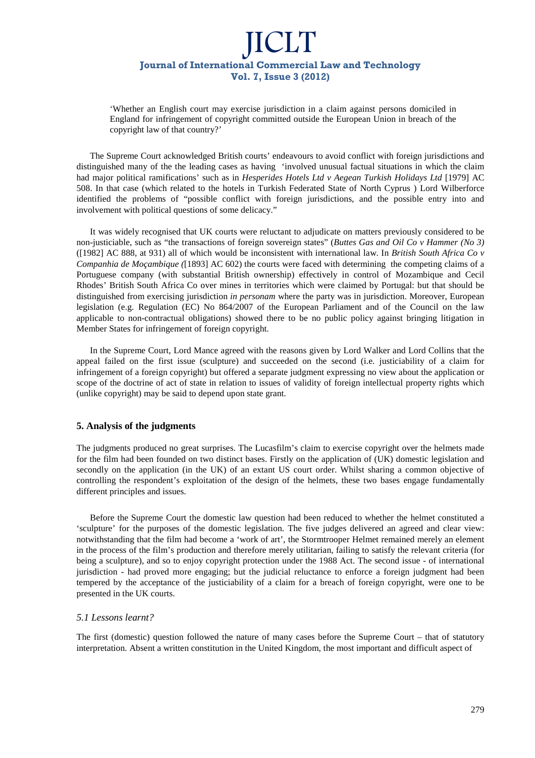'Whether an English court may exercise jurisdiction in a claim against persons domiciled in England for infringement of copyright committed outside the European Union in breach of the copyright law of that country?'

The Supreme Court acknowledged British courts' endeavours to avoid conflict with foreign jurisdictions and distinguished many of the the leading cases as having 'involved unusual factual situations in which the claim had major political ramifications' such as in *Hesperides Hotels Ltd v Aegean Turkish Holidays Ltd* [1979] AC 508. In that case (which related to the hotels in Turkish Federated State of North Cyprus ) Lord Wilberforce identified the problems of "possible conflict with foreign jurisdictions, and the possible entry into and involvement with political questions of some delicacy."

It was widely recognised that UK courts were reluctant to adjudicate on matters previously considered to be non-justiciable, such as "the transactions of foreign sovereign states" (*Buttes Gas and Oil Co v Hammer (No 3)*  ([1982] AC 888, at 931) all of which would be inconsistent with international law. In *British South Africa Co v Companhia de Moçambique (*[1893] AC 602) the courts were faced with determining the competing claims of a Portuguese company (with substantial British ownership) effectively in control of Mozambique and Cecil Rhodes' British South Africa Co over mines in territories which were claimed by Portugal: but that should be distinguished from exercising jurisdiction *in personam* where the party was in jurisdiction. Moreover, European legislation (e.g. Regulation (EC) No 864/2007 of the European Parliament and of the Council on the law applicable to non-contractual obligations) showed there to be no public policy against bringing litigation in Member States for infringement of foreign copyright.

In the Supreme Court, Lord Mance agreed with the reasons given by Lord Walker and Lord Collins that the appeal failed on the first issue (sculpture) and succeeded on the second (i.e. justiciability of a claim for infringement of a foreign copyright) but offered a separate judgment expressing no view about the application or scope of the doctrine of act of state in relation to issues of validity of foreign intellectual property rights which (unlike copyright) may be said to depend upon state grant.

### **5. Analysis of the judgments**

The judgments produced no great surprises. The Lucasfilm's claim to exercise copyright over the helmets made for the film had been founded on two distinct bases. Firstly on the application of (UK) domestic legislation and secondly on the application (in the UK) of an extant US court order. Whilst sharing a common objective of controlling the respondent's exploitation of the design of the helmets, these two bases engage fundamentally different principles and issues.

Before the Supreme Court the domestic law question had been reduced to whether the helmet constituted a 'sculpture' for the purposes of the domestic legislation. The five judges delivered an agreed and clear view: notwithstanding that the film had become a 'work of art', the Stormtrooper Helmet remained merely an element in the process of the film's production and therefore merely utilitarian, failing to satisfy the relevant criteria (for being a sculpture), and so to enjoy copyright protection under the 1988 Act. The second issue - of international jurisdiction - had proved more engaging; but the judicial reluctance to enforce a foreign judgment had been tempered by the acceptance of the justiciability of a claim for a breach of foreign copyright, were one to be presented in the UK courts.

### *5.1 Lessons learnt?*

The first (domestic) question followed the nature of many cases before the Supreme Court – that of statutory interpretation. Absent a written constitution in the United Kingdom, the most important and difficult aspect of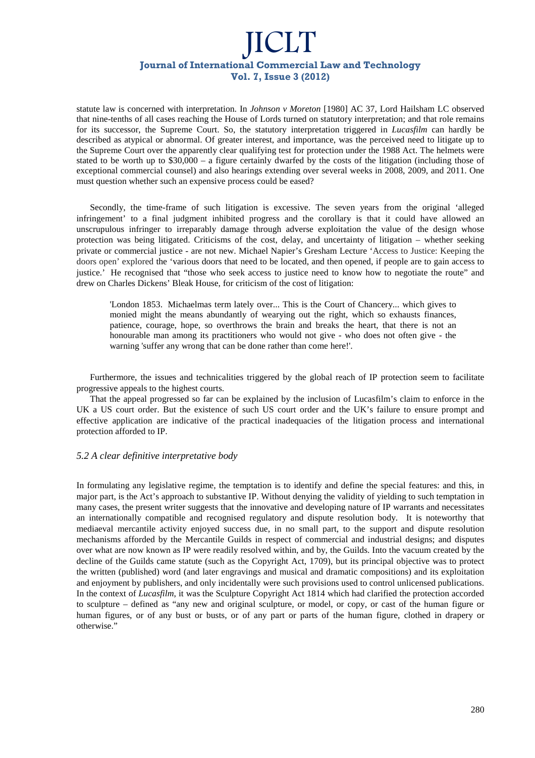statute law is concerned with interpretation. In *Johnson v Moreton* [1980] AC 37, Lord Hailsham LC observed that nine-tenths of all cases reaching the House of Lords turned on statutory interpretation; and that role remains for its successor, the Supreme Court. So, the statutory interpretation triggered in *Lucasfilm* can hardly be described as atypical or abnormal. Of greater interest, and importance, was the perceived need to litigate up to the Supreme Court over the apparently clear qualifying test for protection under the 1988 Act. The helmets were stated to be worth up to \$30,000 – a figure certainly dwarfed by the costs of the litigation (including those of exceptional commercial counsel) and also hearings extending over several weeks in 2008, 2009, and 2011. One must question whether such an expensive process could be eased?

Secondly, the time-frame of such litigation is excessive. The seven years from the original 'alleged infringement' to a final judgment inhibited progress and the corollary is that it could have allowed an unscrupulous infringer to irreparably damage through adverse exploitation the value of the design whose protection was being litigated. Criticisms of the cost, delay, and uncertainty of litigation – whether seeking private or commercial justice - are not new. Michael Napier's Gresham Lecture 'Access to Justice: Keeping the doors open' explored the 'various doors that need to be located, and then opened, if people are to gain access to justice.' He recognised that "those who seek access to justice need to know how to negotiate the route" and drew on Charles Dickens' Bleak House, for criticism of the cost of litigation:

'London 1853. Michaelmas term lately over... This is the Court of Chancery... which gives to monied might the means abundantly of wearying out the right, which so exhausts finances, patience, courage, hope, so overthrows the brain and breaks the heart, that there is not an honourable man among its practitioners who would not give - who does not often give - the warning 'suffer any wrong that can be done rather than come here!'.

Furthermore, the issues and technicalities triggered by the global reach of IP protection seem to facilitate progressive appeals to the highest courts.

That the appeal progressed so far can be explained by the inclusion of Lucasfilm's claim to enforce in the UK a US court order. But the existence of such US court order and the UK's failure to ensure prompt and effective application are indicative of the practical inadequacies of the litigation process and international protection afforded to IP.

### *5.2 A clear definitive interpretative body*

In formulating any legislative regime, the temptation is to identify and define the special features: and this, in major part, is the Act's approach to substantive IP. Without denying the validity of yielding to such temptation in many cases, the present writer suggests that the innovative and developing nature of IP warrants and necessitates an internationally compatible and recognised regulatory and dispute resolution body. It is noteworthy that mediaeval mercantile activity enjoyed success due, in no small part, to the support and dispute resolution mechanisms afforded by the Mercantile Guilds in respect of commercial and industrial designs; and disputes over what are now known as IP were readily resolved within, and by, the Guilds. Into the vacuum created by the decline of the Guilds came statute (such as the Copyright Act, 1709), but its principal objective was to protect the written (published) word (and later engravings and musical and dramatic compositions) and its exploitation and enjoyment by publishers, and only incidentally were such provisions used to control unlicensed publications. In the context of *Lucasfilm*, it was the Sculpture Copyright Act 1814 which had clarified the protection accorded to sculpture – defined as "any new and original sculpture, or model, or copy, or cast of the human figure or human figures, or of any bust or busts, or of any part or parts of the human figure, clothed in drapery or otherwise."